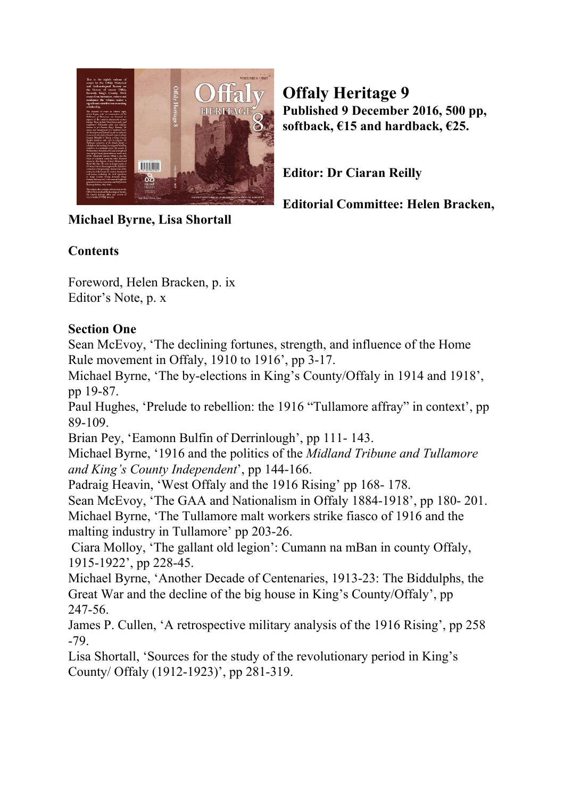

**Offaly Heritage 9 Published 9 December 2016, 500 pp, softback, €15 and hardback, €25.**

**Editor: Dr Ciaran Reilly**

**Editorial Committee: Helen Bracken,**

# **Michael Byrne, Lisa Shortall**

## **Contents**

Foreword, Helen Bracken, p. ix Editor's Note, p. x

## **Section One**

Sean McEvoy, 'The declining fortunes, strength, and influence of the Home Rule movement in Offaly, 1910 to 1916', pp 3-17.

Michael Byrne, 'The by-elections in King's County/Offaly in 1914 and 1918', pp 19-87.

Paul Hughes, 'Prelude to rebellion: the 1916 "Tullamore affray" in context', pp 89-109.

Brian Pey, 'Eamonn Bulfin of Derrinlough', pp 111- 143.

Michael Byrne, '1916 and the politics of the *Midland Tribune and Tullamore and King's County Independent*', pp 144-166.

Padraig Heavin, 'West Offaly and the 1916 Rising' pp 168- 178.

Sean McEvoy, 'The GAA and Nationalism in Offaly 1884-1918', pp 180- 201. Michael Byrne, 'The Tullamore malt workers strike fiasco of 1916 and the malting industry in Tullamore' pp 203-26.

 Ciara Molloy, 'The gallant old legion': Cumann na mBan in county Offaly, 1915-1922', pp 228-45.

Michael Byrne, 'Another Decade of Centenaries, 1913-23: The Biddulphs, the Great War and the decline of the big house in King's County/Offaly', pp 247-56.

James P. Cullen, 'A retrospective military analysis of the 1916 Rising', pp 258 -79.

Lisa Shortall, 'Sources for the study of the revolutionary period in King's County/ Offaly (1912-1923)', pp 281-319.